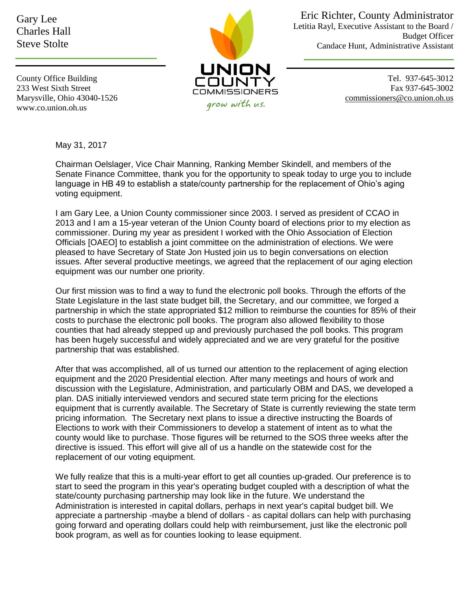Gary Lee Charles Hall Steve Stolte



Eric Richter, County Administrator Letitia Rayl, Executive Assistant to the Board / Budget Officer Candace Hunt, Administrative Assistant

County Office Building 233 West Sixth Street Marysville, Ohio 43040-1526 www.co.union.oh.us

Tel. 937-645-3012 Fax 937-645-3002 [commissioners@co.union.oh.us](mailto:commissioners@co.union.oh.us)

May 31, 2017

Chairman Oelslager, Vice Chair Manning, Ranking Member Skindell, and members of the Senate Finance Committee, thank you for the opportunity to speak today to urge you to include language in HB 49 to establish a state/county partnership for the replacement of Ohio's aging voting equipment.

I am Gary Lee, a Union County commissioner since 2003. I served as president of CCAO in 2013 and I am a 15-year veteran of the Union County board of elections prior to my election as commissioner. During my year as president I worked with the Ohio Association of Election Officials [OAEO] to establish a joint committee on the administration of elections. We were pleased to have Secretary of State Jon Husted join us to begin conversations on election issues. After several productive meetings, we agreed that the replacement of our aging election equipment was our number one priority.

Our first mission was to find a way to fund the electronic poll books. Through the efforts of the State Legislature in the last state budget bill, the Secretary, and our committee, we forged a partnership in which the state appropriated \$12 million to reimburse the counties for 85% of their costs to purchase the electronic poll books. The program also allowed flexibility to those counties that had already stepped up and previously purchased the poll books. This program has been hugely successful and widely appreciated and we are very grateful for the positive partnership that was established.

After that was accomplished, all of us turned our attention to the replacement of aging election equipment and the 2020 Presidential election. After many meetings and hours of work and discussion with the Legislature, Administration, and particularly OBM and DAS, we developed a plan. DAS initially interviewed vendors and secured state term pricing for the elections equipment that is currently available. The Secretary of State is currently reviewing the state term pricing information. The Secretary next plans to issue a directive instructing the Boards of Elections to work with their Commissioners to develop a statement of intent as to what the county would like to purchase. Those figures will be returned to the SOS three weeks after the directive is issued. This effort will give all of us a handle on the statewide cost for the replacement of our voting equipment.

We fully realize that this is a multi-year effort to get all counties up-graded. Our preference is to start to seed the program in this year's operating budget coupled with a description of what the state/county purchasing partnership may look like in the future. We understand the Administration is interested in capital dollars, perhaps in next year's capital budget bill. We appreciate a partnership -maybe a blend of dollars - as capital dollars can help with purchasing going forward and operating dollars could help with reimbursement, just like the electronic poll book program, as well as for counties looking to lease equipment.